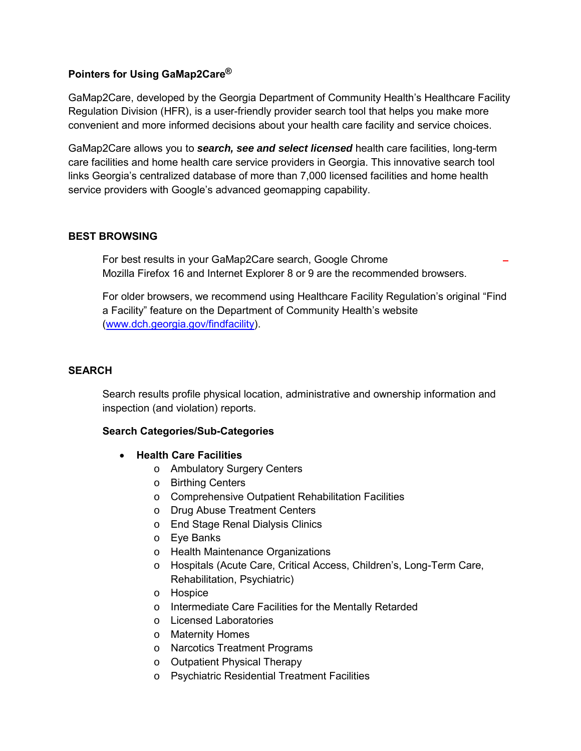### **Pointers for Using GaMap2Care®**

GaMap2Care, developed by the Georgia Department of Community Health's Healthcare Facility Regulation Division (HFR), is a user-friendly provider search tool that helps you make more convenient and more informed decisions about your health care facility and service choices.

GaMap2Care allows you to *search, see and select licensed* health care facilities, long-term care facilities and home health care service providers in Georgia. This innovative search tool links Georgia's centralized database of more than 7,000 licensed facilities and home health service providers with Google's advanced geomapping capability.

#### **BEST BROWSING**

For best results in your GaMap2Care search, Google Chrome Mozilla Firefox 16 and Internet Explorer 8 or 9 are the recommended browsers.

For older browsers, we recommend using Healthcare Facility Regulation's original "Find a Facility" feature on the Department of Community Health's website [\(www.dch.georgia.gov/findfacility\)](http://www.dch.georgia.gov/findfacility).

### **SEARCH**

Search results profile physical location, administrative and ownership information and inspection (and violation) reports.

#### **Search Categories/Sub-Categories**

- **Health Care Facilities** 
	- o Ambulatory Surgery Centers
	- o Birthing Centers
	- o Comprehensive Outpatient Rehabilitation Facilities
	- o Drug Abuse Treatment Centers
	- o End Stage Renal Dialysis Clinics
	- o Eye Banks
	- o Health Maintenance Organizations
	- o Hospitals (Acute Care, Critical Access, Children's, Long-Term Care, Rehabilitation, Psychiatric)
	- o Hospice
	- o Intermediate Care Facilities for the Mentally Retarded
	- o Licensed Laboratories
	- o Maternity Homes
	- o Narcotics Treatment Programs
	- o Outpatient Physical Therapy
	- o Psychiatric Residential Treatment Facilities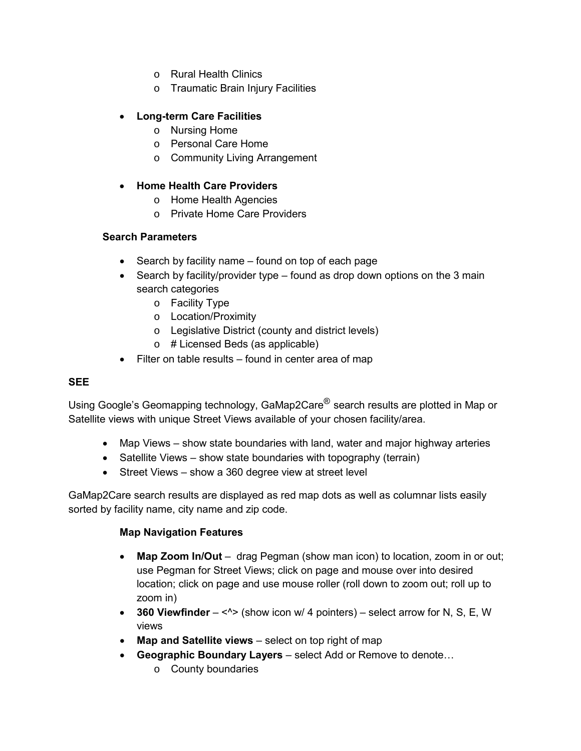- o Rural Health Clinics
- o Traumatic Brain Injury Facilities

### • **Long-term Care Facilities**

- o Nursing Home
- o Personal Care Home
- o Community Living Arrangement

#### • **Home Health Care Providers**

- o Home Health Agencies
- o Private Home Care Providers

#### **Search Parameters**

- Search by facility name found on top of each page
- Search by facility/provider type found as drop down options on the 3 main search categories
	- o Facility Type
	- o Location/Proximity
	- o Legislative District (county and district levels)
	- o # Licensed Beds (as applicable)
- Filter on table results found in center area of map

#### **SEE**

Using Google's Geomapping technology, GaMap2Care<sup>®</sup> search results are plotted in Map or Satellite views with unique Street Views available of your chosen facility/area.

- Map Views show state boundaries with land, water and major highway arteries
- Satellite Views show state boundaries with topography (terrain)
- Street Views show a 360 degree view at street level

GaMap2Care search results are displayed as red map dots as well as columnar lists easily sorted by facility name, city name and zip code.

#### **Map Navigation Features**

- **Map Zoom In/Out** drag Pegman (show man icon) to location, zoom in or out; use Pegman for Street Views; click on page and mouse over into desired location; click on page and use mouse roller (roll down to zoom out; roll up to zoom in)
- **360 Viewfinder** <^> (show icon w/ 4 pointers) select arrow for N, S, E, W views
- **Map and Satellite views** select on top right of map
- **Geographic Boundary Layers** select Add or Remove to denote…
	- o County boundaries